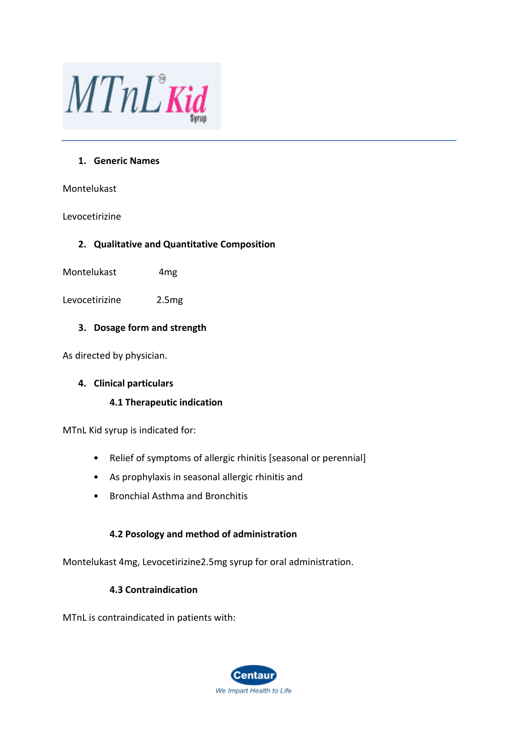

## **1. Generic Names**

Montelukast

## Levocetirizine

## **2. Qualitative and Quantitative Composition**

Montelukast 4mg

Levocetirizine 2.5mg

# **3. Dosage form and strength**

As directed by physician.

## **4. Clinical particulars**

## **4.1 Therapeutic indication**

MTnL Kid syrup is indicated for:

- Relief of symptoms of allergic rhinitis [seasonal or perennial]
- As prophylaxis in seasonal allergic rhinitis and
- Bronchial Asthma and Bronchitis

## **4.2 Posology and method of administration**

Montelukast 4mg, Levocetirizine2.5mg syrup for oral administration.

## **4.3 Contraindication**

MTnL is contraindicated in patients with:

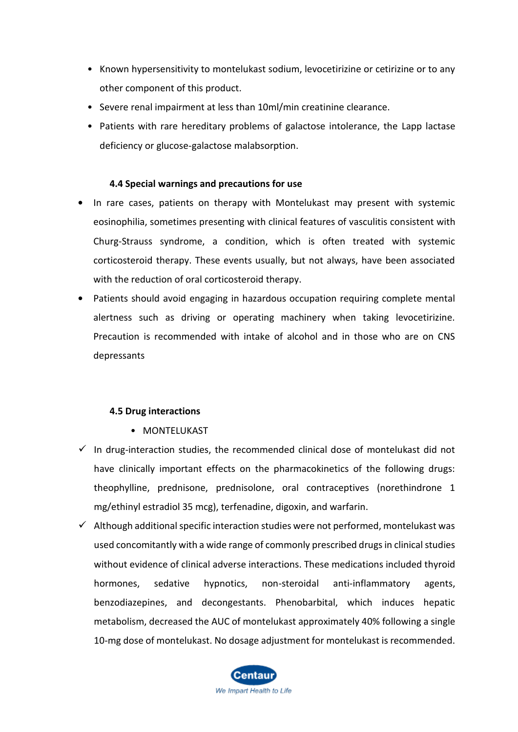- Known hypersensitivity to montelukast sodium, levocetirizine or cetirizine or to any other component of this product.
- Severe renal impairment at less than 10ml/min creatinine clearance.
- Patients with rare hereditary problems of galactose intolerance, the Lapp lactase deficiency or glucose-galactose malabsorption.

## **4.4 Special warnings and precautions for use**

- **•** In rare cases, patients on therapy with Montelukast may present with systemic eosinophilia, sometimes presenting with clinical features of vasculitis consistent with Churg-Strauss syndrome, a condition, which is often treated with systemic corticosteroid therapy. These events usually, but not always, have been associated with the reduction of oral corticosteroid therapy.
- **•** Patients should avoid engaging in hazardous occupation requiring complete mental alertness such as driving or operating machinery when taking levocetirizine. Precaution is recommended with intake of alcohol and in those who are on CNS depressants

## **4.5 Drug interactions**

- MONTELUKAST
- $\checkmark$  In drug-interaction studies, the recommended clinical dose of montelukast did not have clinically important effects on the pharmacokinetics of the following drugs: theophylline, prednisone, prednisolone, oral contraceptives (norethindrone 1 mg/ethinyl estradiol 35 mcg), terfenadine, digoxin, and warfarin.
- $\checkmark$  Although additional specific interaction studies were not performed, montelukast was used concomitantly with a wide range of commonly prescribed drugs in clinical studies without evidence of clinical adverse interactions. These medications included thyroid hormones, sedative hypnotics, non-steroidal anti-inflammatory agents, benzodiazepines, and decongestants. Phenobarbital, which induces hepatic metabolism, decreased the AUC of montelukast approximately 40% following a single 10-mg dose of montelukast. No dosage adjustment for montelukast is recommended.

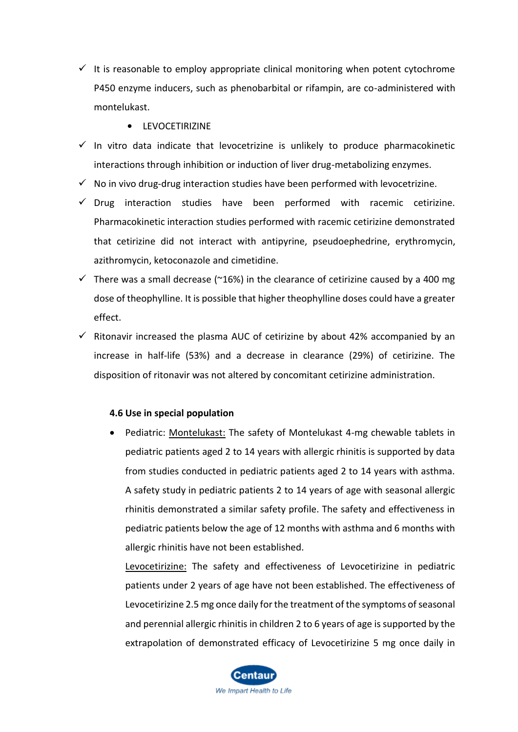- $\checkmark$  It is reasonable to employ appropriate clinical monitoring when potent cytochrome P450 enzyme inducers, such as phenobarbital or rifampin, are co-administered with montelukast.
	- **•** LEVOCETIRIZINE
- $\checkmark$  In vitro data indicate that levocetrizine is unlikely to produce pharmacokinetic interactions through inhibition or induction of liver drug-metabolizing enzymes.
- $\checkmark$  No in vivo drug-drug interaction studies have been performed with levocetrizine.
- $\checkmark$  Drug interaction studies have been performed with racemic cetirizine. Pharmacokinetic interaction studies performed with racemic cetirizine demonstrated that cetirizine did not interact with antipyrine, pseudoephedrine, erythromycin, azithromycin, ketoconazole and cimetidine.
- $\checkmark$  There was a small decrease (~16%) in the clearance of cetirizine caused by a 400 mg dose of theophylline. It is possible that higher theophylline doses could have a greater effect.
- $\checkmark$  Ritonavir increased the plasma AUC of cetirizine by about 42% accompanied by an increase in half-life (53%) and a decrease in clearance (29%) of cetirizine. The disposition of ritonavir was not altered by concomitant cetirizine administration.

## **4.6 Use in special population**

• Pediatric: Montelukast: The safety of Montelukast 4-mg chewable tablets in pediatric patients aged 2 to 14 years with allergic rhinitis is supported by data from studies conducted in pediatric patients aged 2 to 14 years with asthma. A safety study in pediatric patients 2 to 14 years of age with seasonal allergic rhinitis demonstrated a similar safety profile. The safety and effectiveness in pediatric patients below the age of 12 months with asthma and 6 months with allergic rhinitis have not been established.

Levocetirizine: The safety and effectiveness of Levocetirizine in pediatric patients under 2 years of age have not been established. The effectiveness of Levocetirizine 2.5 mg once daily for the treatment of the symptoms of seasonal and perennial allergic rhinitis in children 2 to 6 years of age is supported by the extrapolation of demonstrated efficacy of Levocetirizine 5 mg once daily in

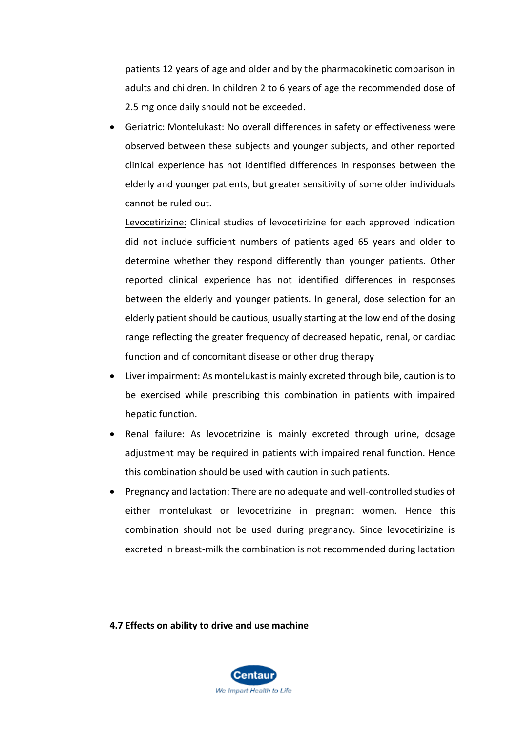patients 12 years of age and older and by the pharmacokinetic comparison in adults and children. In children 2 to 6 years of age the recommended dose of 2.5 mg once daily should not be exceeded.

• Geriatric: Montelukast: No overall differences in safety or effectiveness were observed between these subjects and younger subjects, and other reported clinical experience has not identified differences in responses between the elderly and younger patients, but greater sensitivity of some older individuals cannot be ruled out.

Levocetirizine: Clinical studies of levocetirizine for each approved indication did not include sufficient numbers of patients aged 65 years and older to determine whether they respond differently than younger patients. Other reported clinical experience has not identified differences in responses between the elderly and younger patients. In general, dose selection for an elderly patient should be cautious, usually starting at the low end of the dosing range reflecting the greater frequency of decreased hepatic, renal, or cardiac function and of concomitant disease or other drug therapy

- Liver impairment: As montelukast is mainly excreted through bile, caution is to be exercised while prescribing this combination in patients with impaired hepatic function.
- Renal failure: As levocetrizine is mainly excreted through urine, dosage adjustment may be required in patients with impaired renal function. Hence this combination should be used with caution in such patients.
- Pregnancy and lactation: There are no adequate and well-controlled studies of either montelukast or levocetrizine in pregnant women. Hence this combination should not be used during pregnancy. Since levocetirizine is excreted in breast-milk the combination is not recommended during lactation

**4.7 Effects on ability to drive and use machine**

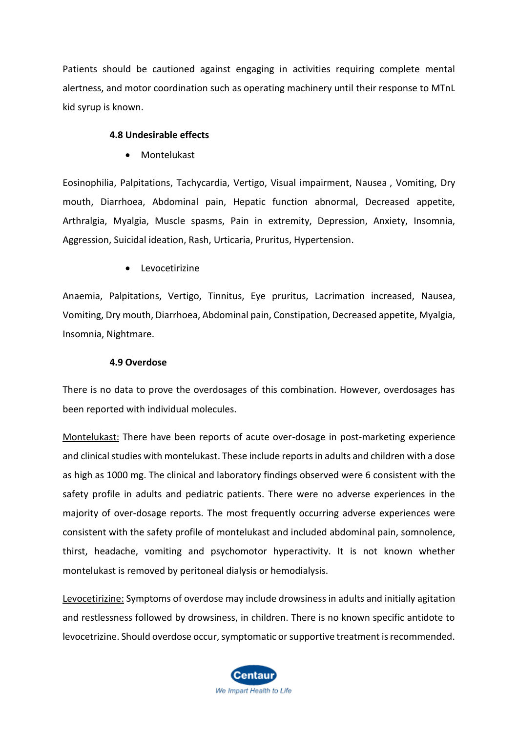Patients should be cautioned against engaging in activities requiring complete mental alertness, and motor coordination such as operating machinery until their response to MTnL kid syrup is known.

## **4.8 Undesirable effects**

• Montelukast

Eosinophilia, Palpitations, Tachycardia, Vertigo, Visual impairment, Nausea , Vomiting, Dry mouth, Diarrhoea, Abdominal pain, Hepatic function abnormal, Decreased appetite, Arthralgia, Myalgia, Muscle spasms, Pain in extremity, Depression, Anxiety, Insomnia, Aggression, Suicidal ideation, Rash, Urticaria, Pruritus, Hypertension.

• Levocetirizine

Anaemia, Palpitations, Vertigo, Tinnitus, Eye pruritus, Lacrimation increased, Nausea, Vomiting, Dry mouth, Diarrhoea, Abdominal pain, Constipation, Decreased appetite, Myalgia, Insomnia, Nightmare.

## **4.9 Overdose**

There is no data to prove the overdosages of this combination. However, overdosages has been reported with individual molecules.

Montelukast: There have been reports of acute over-dosage in post-marketing experience and clinical studies with montelukast. These include reports in adults and children with a dose as high as 1000 mg. The clinical and laboratory findings observed were 6 consistent with the safety profile in adults and pediatric patients. There were no adverse experiences in the majority of over-dosage reports. The most frequently occurring adverse experiences were consistent with the safety profile of montelukast and included abdominal pain, somnolence, thirst, headache, vomiting and psychomotor hyperactivity. It is not known whether montelukast is removed by peritoneal dialysis or hemodialysis.

Levocetirizine: Symptoms of overdose may include drowsiness in adults and initially agitation and restlessness followed by drowsiness, in children. There is no known specific antidote to levocetrizine. Should overdose occur, symptomatic or supportive treatment is recommended.

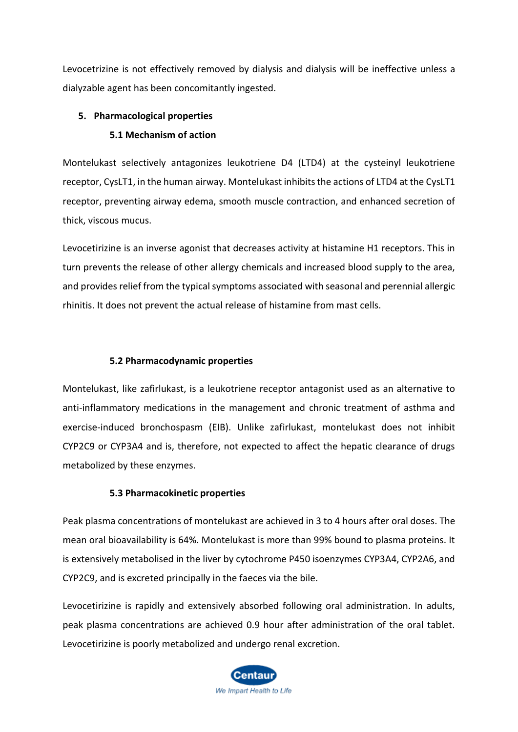Levocetrizine is not effectively removed by dialysis and dialysis will be ineffective unless a dialyzable agent has been concomitantly ingested.

# **5. Pharmacological properties**

# **5.1 Mechanism of action**

Montelukast selectively antagonizes leukotriene D4 (LTD4) at the cysteinyl leukotriene receptor, CysLT1, in the human airway. Montelukast inhibits the actions of LTD4 at the CysLT1 receptor, preventing airway edema, smooth muscle contraction, and enhanced secretion of thick, viscous mucus.

Levocetirizine is an inverse agonist that decreases activity at histamine H1 receptors. This in turn prevents the release of other allergy chemicals and increased blood supply to the area, and provides relief from the typical symptoms associated with seasonal and perennial allergic rhinitis. It does not prevent the actual release of histamine from mast cells.

# **5.2 Pharmacodynamic properties**

Montelukast, like zafirlukast, is a leukotriene receptor antagonist used as an alternative to anti-inflammatory medications in the management and chronic treatment of asthma and exercise-induced bronchospasm (EIB). Unlike zafirlukast, montelukast does not inhibit CYP2C9 or CYP3A4 and is, therefore, not expected to affect the hepatic clearance of drugs metabolized by these enzymes.

## **5.3 Pharmacokinetic properties**

Peak plasma concentrations of montelukast are achieved in 3 to 4 hours after oral doses. The mean oral bioavailability is 64%. Montelukast is more than 99% bound to plasma proteins. It is extensively metabolised in the liver by cytochrome P450 isoenzymes CYP3A4, CYP2A6, and CYP2C9, and is excreted principally in the faeces via the bile.

Levocetirizine is rapidly and extensively absorbed following oral administration. In adults, peak plasma concentrations are achieved 0.9 hour after administration of the oral tablet. Levocetirizine is poorly metabolized and undergo renal excretion.

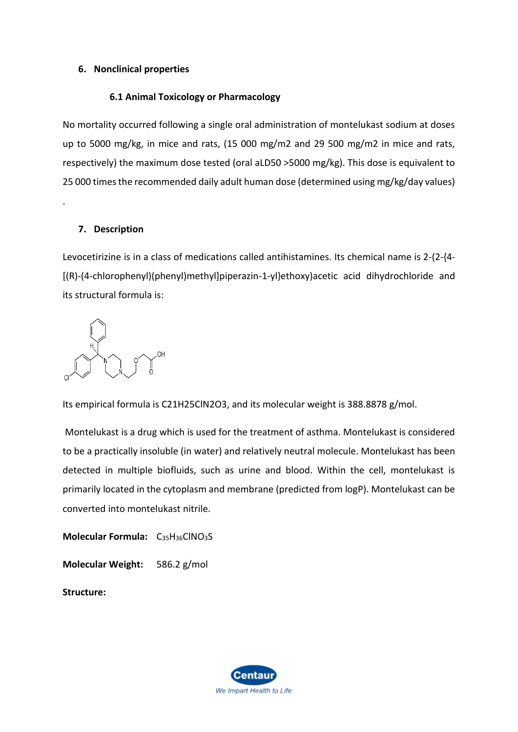## **6. Nonclinical properties**

# **6.1 Animal Toxicology or Pharmacology**

No mortality occurred following a single oral administration of montelukast sodium at doses up to 5000 mg/kg, in mice and rats, (15 000 mg/m2 and 29 500 mg/m2 in mice and rats, respectively) the maximum dose tested (oral aLD50 >5000 mg/kg). This dose is equivalent to 25 000 times the recommended daily adult human dose (determined using mg/kg/day values)

# **7. Description**

.

Levocetirizine is in a class of medications called antihistamines. Its chemical name is 2-(2-{4- [(R)-(4-chlorophenyl)(phenyl)methyl]piperazin-1-yl}ethoxy)acetic acid dihydrochloride and its structural formula is:

Its empirical formula is C21H25ClN2O3, and its molecular weight is 388.8878 g/mol.

Montelukast is a drug which is used for the treatment of asthma. Montelukast is considered to be a practically insoluble (in water) and relatively neutral molecule. Montelukast has been detected in multiple biofluids, such as urine and blood. Within the cell, montelukast is primarily located in the cytoplasm and membrane (predicted from logP). Montelukast can be converted into montelukast nitrile.

**Molecular Formula:** C<sub>35</sub>H<sub>36</sub>ClNO<sub>3</sub>S **Molecular Weight:** 586.2 g/mol **Structure:**

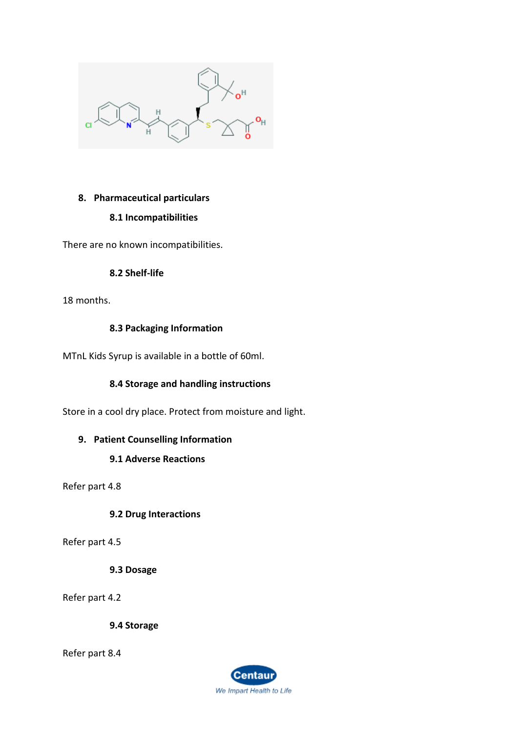

# **8. Pharmaceutical particulars**

# **8.1 Incompatibilities**

There are no known incompatibilities.

# **8.2 Shelf-life**

18 months.

# **8.3 Packaging Information**

MTnL Kids Syrup is available in a bottle of 60ml.

# **8.4 Storage and handling instructions**

Store in a cool dry place. Protect from moisture and light.

# **9. Patient Counselling Information**

# **9.1 Adverse Reactions**

Refer part 4.8

**9.2 Drug Interactions**

Refer part 4.5

# **9.3 Dosage**

Refer part 4.2

**9.4 Storage**

Refer part 8.4